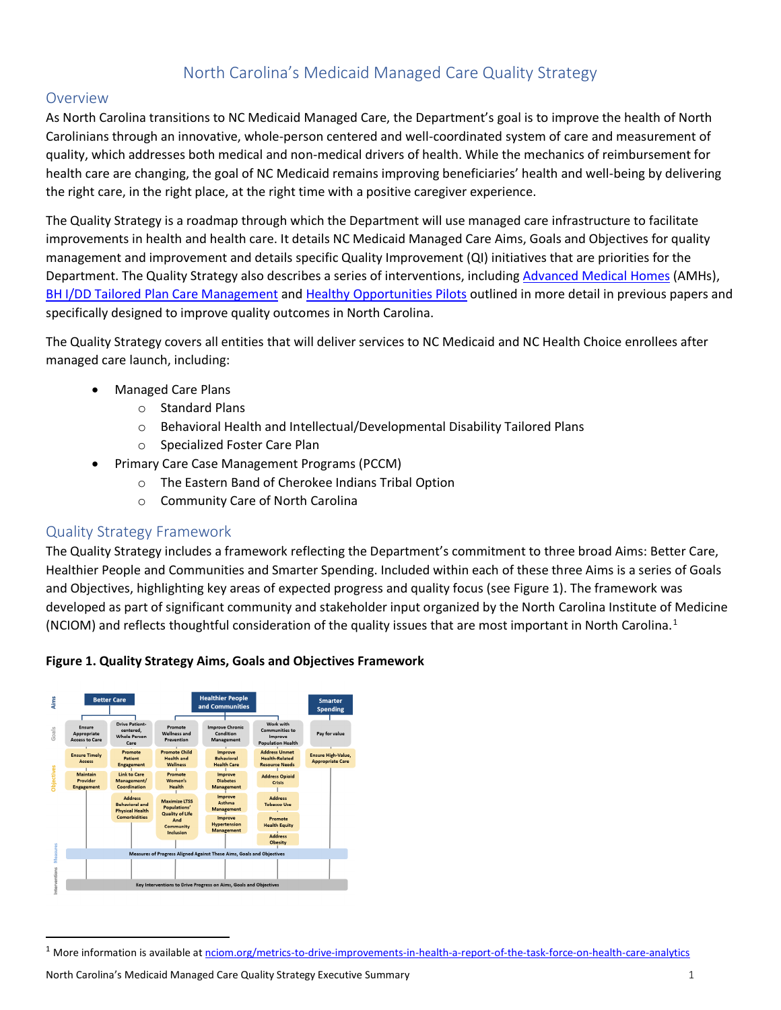## North Carolina's Medicaid Managed Care Quality Strategy

## Overview

As North Carolina transitions to NC Medicaid Managed Care, the Department's goal is to improve the health of North Carolinians through an innovative, whole-person centered and well-coordinated system of care and measurement of quality, which addresses both medical and non-medical drivers of health. While the mechanics of reimbursement for health care are changing, the goal of NC Medicaid remains improving beneficiaries' health and well-being by delivering the right care, in the right place, at the right time with a positive caregiver experience.

The Quality Strategy is a roadmap through which the Department will use managed care infrastructure to facilitate improvements in health and health care. It details NC Medicaid Managed Care Aims, Goals and Objectives for quality management and improvement and details specific Quality Improvement (QI) initiatives that are priorities for the Department. The Quality Strategy also describes a series of interventions, including [Advanced Medical Homes](https://medicaid.ncdhhs.gov/transformation/advanced-medical-home) (AMHs), [BH I/DD Tailored Plan Care Management](https://files.nc.gov/ncdhhs/TailoredPlan-CareManagement-PolicyPaper-FINAL-20180529.pdf) and [Healthy Opportunities Pilots](https://www.ncdhhs.gov/about/department-initiatives/healthy-opportunities/healthy-opportunities-pilots) outlined in more detail in previous papers and specifically designed to improve quality outcomes in North Carolina.

The Quality Strategy covers all entities that will deliver services to NC Medicaid and NC Health Choice enrollees after managed care launch, including:

- Managed Care Plans
	- o Standard Plans
	- o Behavioral Health and Intellectual/Developmental Disability Tailored Plans
	- o Specialized Foster Care Plan
- Primary Care Case Management Programs (PCCM)
	- o The Eastern Band of Cherokee Indians Tribal Option
	- o Community Care of North Carolina

## Quality Strategy Framework

The Quality Strategy includes a framework reflecting the Department's commitment to three broad Aims: Better Care, Healthier People and Communities and Smarter Spending. Included within each of these three Aims is a series of Goals and Objectives, highlighting key areas of expected progress and quality focus (see Figure 1). The framework was developed as part of significant community and stakeholder input organized by the North Carolina Institute of Medicine (NCIOM) and reflects thoughtful consideration of the quality issues that are most important in North Carolina.<sup>[1](#page-0-0)</sup>





<span id="page-0-0"></span><sup>&</sup>lt;sup>1</sup> More information is available at [nciom.org/metrics-to-drive-improvements-in-health-a-report-of-the-task-force-on-health-care-analytics](https://nciom.org/metrics-to-drive-improvements-in-health-a-report-of-the-task-force-on-health-care-analytics/)